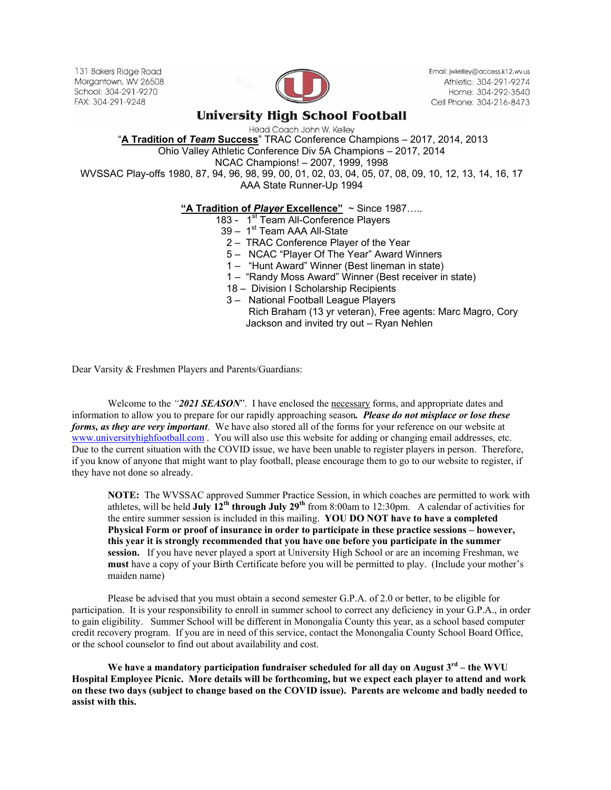131 Bakers Ridge Road Morgantown, WV 26508 School: 304-291-9270 FAX: 304-291-9248



Email: jwkelley@access.k12.wv.us Athletic: 304-291-9274 Home: 304-292-3540 Cell Phone: 304-216-8473

## **University High School Football**

Head Coach John W. Kelley

"**A Tradition of** *Team* **Success**" TRAC Conference Champions – 2017, 2014, 2013

Ohio Valley Athletic Conference Div 5A Champions – 2017, 2014

NCAC Champions! – 2007, 1999, 1998

WVSSAC Play-offs 1980, 87, 94, 96, 98, 99, 00, 01, 02, 03, 04, 05, 07, 08, 09, 10, 12, 13, 14, 16, 17 AAA State Runner-Up 1994

## **"A Tradition of** *Player* **Excellence"** ~ Since 1987…..

- 183 1<sup>st</sup> Team All-Conference Players
- $39 1$ st Team AAA All-State
- 2 TRAC Conference Player of the Year
- 5 NCAC "Player Of The Year" Award Winners
- 1 "Hunt Award" Winner (Best lineman in state)
- 1 "Randy Moss Award" Winner (Best receiver in state)
- 18 Division I Scholarship Recipients
- 3 National Football League Players
	- Rich Braham (13 yr veteran), Free agents: Marc Magro, Cory Jackson and invited try out – Ryan Nehlen

Dear Varsity & Freshmen Players and Parents/Guardians:

Welcome to the *"2021 SEASON*". I have enclosed the necessary forms, and appropriate dates and information to allow you to prepare for our rapidly approaching season*. Please do not misplace or lose these forms, as they are very important*. We have also stored all of the forms for your reference on our website at www.universityhighfootball.com. You will also use this website for adding or changing email addresses, etc. Due to the current situation with the COVID issue, we have been unable to register players in person. Therefore, if you know of anyone that might want to play football, please encourage them to go to our website to register, if they have not done so already.

**NOTE:** The WVSSAC approved Summer Practice Session, in which coaches are permitted to work with athletes, will be held **July 12th through July 29th** from 8:00am to 12:30pm. A calendar of activities for the entire summer session is included in this mailing. **YOU DO NOT have to have a completed Physical Form or proof of insurance in order to participate in these practice sessions – however, this year it is strongly recommended that you have one before you participate in the summer session.** If you have never played a sport at University High School or are an incoming Freshman, we **must** have a copy of your Birth Certificate before you will be permitted to play. (Include your mother's maiden name)

Please be advised that you must obtain a second semester G.P.A. of 2.0 or better, to be eligible for participation. It is your responsibility to enroll in summer school to correct any deficiency in your G.P.A., in order to gain eligibility. Summer School will be different in Monongalia County this year, as a school based computer credit recovery program. If you are in need of this service, contact the Monongalia County School Board Office, or the school counselor to find out about availability and cost.

 **We have a mandatory participation fundraiser scheduled for all day on August 3rd – the WVU Hospital Employee Picnic. More details will be forthcoming, but we expect each player to attend and work on these two days (subject to change based on the COVID issue). Parents are welcome and badly needed to assist with this.**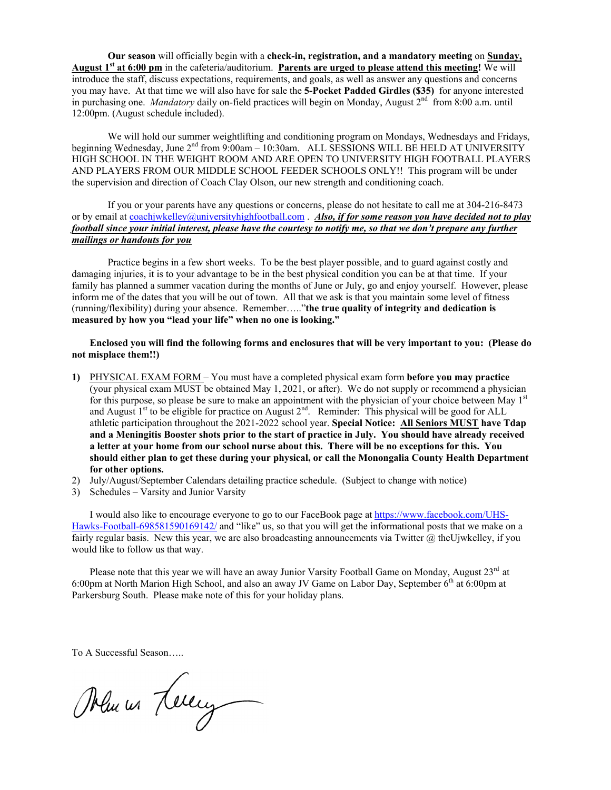**Our season** will officially begin with a **check-in, registration, and a mandatory meeting** on **Sunday, August 1st at 6:00 pm** in the cafeteria/auditorium. **Parents are urged to please attend this meeting!** We will introduce the staff, discuss expectations, requirements, and goals, as well as answer any questions and concerns you may have. At that time we will also have for sale the **5-Pocket Padded Girdles (\$35)** for anyone interested in purchasing one. *Mandatory* daily on-field practices will begin on Monday, August 2<sup>nd</sup> from 8:00 a.m. until 12:00pm. (August schedule included).

We will hold our summer weightlifting and conditioning program on Mondays, Wednesdays and Fridays, beginning Wednesday, June 2<sup>nd</sup> from 9:00am – 10:30am. ALL SESSIONS WILL BE HELD AT UNIVERSITY HIGH SCHOOL IN THE WEIGHT ROOM AND ARE OPEN TO UNIVERSITY HIGH FOOTBALL PLAYERS AND PLAYERS FROM OUR MIDDLE SCHOOL FEEDER SCHOOLS ONLY!! This program will be under the supervision and direction of Coach Clay Olson, our new strength and conditioning coach.

If you or your parents have any questions or concerns, please do not hesitate to call me at 304-216-8473 or by email at coachjwkelley@universityhighfootball.com . *Also, if for some reason you have decided not to play football since your initial interest, please have the courtesy to notify me, so that we don't prepare any further mailings or handouts for you* 

Practice begins in a few short weeks. To be the best player possible, and to guard against costly and damaging injuries, it is to your advantage to be in the best physical condition you can be at that time. If your family has planned a summer vacation during the months of June or July, go and enjoy yourself. However, please inform me of the dates that you will be out of town. All that we ask is that you maintain some level of fitness (running/flexibility) during your absence. Remember….."**the true quality of integrity and dedication is measured by how you "lead your life" when no one is looking."** 

**Enclosed you will find the following forms and enclosures that will be very important to you: (Please do not misplace them!!)** 

- **1)** PHYSICAL EXAM FORM You must have a completed physical exam form **before you may practice**  (your physical exam MUST be obtained May 1, 2021, or after). We do not supply or recommend a physician for this purpose, so please be sure to make an appointment with the physician of your choice between May 1<sup>st</sup> and August 1<sup>st</sup> to be eligible for practice on August  $2<sup>nd</sup>$ . Reminder: This physical will be good for ALL athletic participation throughout the 2021-2022 school year. **Special Notice: All Seniors MUST have Tdap and a Meningitis Booster shots prior to the start of practice in July. You should have already received a letter at your home from our school nurse about this. There will be no exceptions for this. You should either plan to get these during your physical, or call the Monongalia County Health Department for other options.**
- 2) July/August/September Calendars detailing practice schedule. (Subject to change with notice)
- 3) Schedules Varsity and Junior Varsity

I would also like to encourage everyone to go to our FaceBook page at https://www.facebook.com/UHS-Hawks-Football-698581590169142/ and "like" us, so that you will get the informational posts that we make on a fairly regular basis. New this year, we are also broadcasting announcements via Twitter  $@$  the Ujwkelley, if you would like to follow us that way.

Please note that this year we will have an away Junior Varsity Football Game on Monday, August 23rd at 6:00pm at North Marion High School, and also an away JV Game on Labor Day, September 6<sup>th</sup> at 6:00pm at Parkersburg South. Please make note of this for your holiday plans.

To A Successful Season…..

Manus Levery